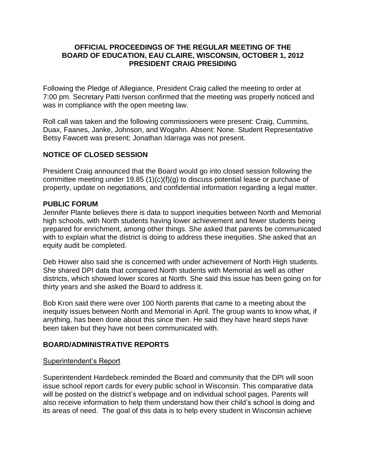## **OFFICIAL PROCEEDINGS OF THE REGULAR MEETING OF THE BOARD OF EDUCATION, EAU CLAIRE, WISCONSIN, OCTOBER 1, 2012 PRESIDENT CRAIG PRESIDING**

Following the Pledge of Allegiance, President Craig called the meeting to order at 7:00 pm. Secretary Patti Iverson confirmed that the meeting was properly noticed and was in compliance with the open meeting law.

Roll call was taken and the following commissioners were present: Craig, Cummins, Duax, Faanes, Janke, Johnson, and Wogahn. Absent: None. Student Representative Betsy Fawcett was present; Jonathan Idarraga was not present.

# **NOTICE OF CLOSED SESSION**

President Craig announced that the Board would go into closed session following the committee meeting under 19.85 (1)(c)(f)(g) to discuss potential lease or purchase of property, update on negotiations, and confidential information regarding a legal matter.

### **PUBLIC FORUM**

Jennifer Plante believes there is data to support inequities between North and Memorial high schools, with North students having lower achievement and fewer students being prepared for enrichment, among other things. She asked that parents be communicated with to explain what the district is doing to address these inequities. She asked that an equity audit be completed.

Deb Hower also said she is concerned with under achievement of North High students. She shared DPI data that compared North students with Memorial as well as other districts, which showed lower scores at North. She said this issue has been going on for thirty years and she asked the Board to address it.

Bob Kron said there were over 100 North parents that came to a meeting about the inequity issues between North and Memorial in April. The group wants to know what, if anything, has been done about this since then. He said they have heard steps have been taken but they have not been communicated with.

## **BOARD/ADMINISTRATIVE REPORTS**

#### Superintendent's Report

Superintendent Hardebeck reminded the Board and community that the DPI will soon issue school report cards for every public school in Wisconsin. This comparative data will be posted on the district's webpage and on individual school pages. Parents will also receive information to help them understand how their child's school is doing and its areas of need. The goal of this data is to help every student in Wisconsin achieve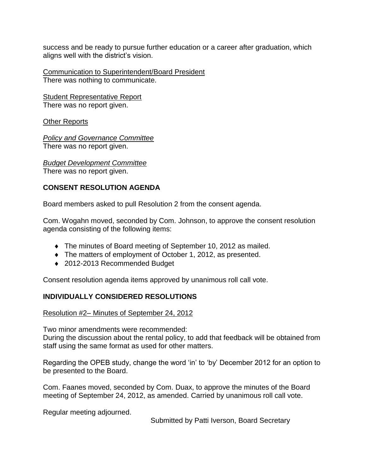success and be ready to pursue further education or a career after graduation, which aligns well with the district's vision.

Communication to Superintendent/Board President There was nothing to communicate.

Student Representative Report There was no report given.

Other Reports

*Policy and Governance Committee* There was no report given.

*Budget Development Committee* There was no report given.

# **CONSENT RESOLUTION AGENDA**

Board members asked to pull Resolution 2 from the consent agenda.

Com. Wogahn moved, seconded by Com. Johnson, to approve the consent resolution agenda consisting of the following items:

- The minutes of Board meeting of September 10, 2012 as mailed.
- The matters of employment of October 1, 2012, as presented.
- ◆ 2012-2013 Recommended Budget

Consent resolution agenda items approved by unanimous roll call vote.

# **INDIVIDUALLY CONSIDERED RESOLUTIONS**

## Resolution #2– Minutes of September 24, 2012

Two minor amendments were recommended:

During the discussion about the rental policy, to add that feedback will be obtained from staff using the same format as used for other matters.

Regarding the OPEB study, change the word 'in' to 'by' December 2012 for an option to be presented to the Board.

Com. Faanes moved, seconded by Com. Duax, to approve the minutes of the Board meeting of September 24, 2012, as amended. Carried by unanimous roll call vote.

Regular meeting adjourned.

Submitted by Patti Iverson, Board Secretary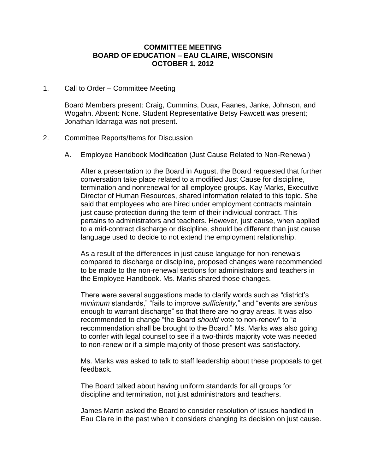### **COMMITTEE MEETING BOARD OF EDUCATION – EAU CLAIRE, WISCONSIN OCTOBER 1, 2012**

#### 1. Call to Order – Committee Meeting

Board Members present: Craig, Cummins, Duax, Faanes, Janke, Johnson, and Wogahn. Absent: None. Student Representative Betsy Fawcett was present; Jonathan Idarraga was not present.

### 2. Committee Reports/Items for Discussion

A. Employee Handbook Modification (Just Cause Related to Non-Renewal)

After a presentation to the Board in August, the Board requested that further conversation take place related to a modified Just Cause for discipline, termination and nonrenewal for all employee groups. Kay Marks, Executive Director of Human Resources, shared information related to this topic. She said that employees who are hired under employment contracts maintain just cause protection during the term of their individual contract. This pertains to administrators and teachers. However, just cause, when applied to a mid-contract discharge or discipline, should be different than just cause language used to decide to not extend the employment relationship.

As a result of the differences in just cause language for non-renewals compared to discharge or discipline, proposed changes were recommended to be made to the non-renewal sections for administrators and teachers in the Employee Handbook. Ms. Marks shared those changes.

There were several suggestions made to clarify words such as "district's *minimum* standards," "fails to improve *sufficiently,*" and "events are *serious* enough to warrant discharge" so that there are no gray areas. It was also recommended to change "the Board *should* vote to non-renew" to "a recommendation shall be brought to the Board." Ms. Marks was also going to confer with legal counsel to see if a two-thirds majority vote was needed to non-renew or if a simple majority of those present was satisfactory.

Ms. Marks was asked to talk to staff leadership about these proposals to get feedback.

The Board talked about having uniform standards for all groups for discipline and termination, not just administrators and teachers.

James Martin asked the Board to consider resolution of issues handled in Eau Claire in the past when it considers changing its decision on just cause.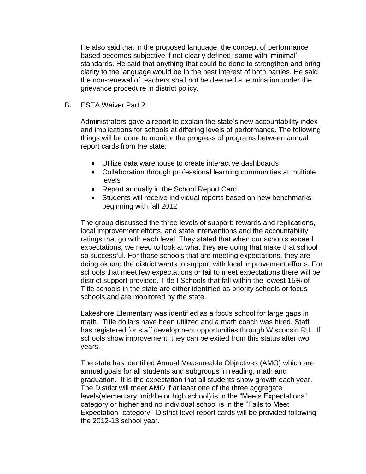He also said that in the proposed language, the concept of performance based becomes subjective if not clearly defined; same with 'minimal' standards. He said that anything that could be done to strengthen and bring clarity to the language would be in the best interest of both parties. He said the non-renewal of teachers shall not be deemed a termination under the grievance procedure in district policy.

B. ESEA Waiver Part 2

Administrators gave a report to explain the state's new accountability index and implications for schools at differing levels of performance. The following things will be done to monitor the progress of programs between annual report cards from the state:

- Utilize data warehouse to create interactive dashboards
- Collaboration through professional learning communities at multiple levels
- Report annually in the School Report Card
- Students will receive individual reports based on new benchmarks beginning with fall 2012

The group discussed the three levels of support: rewards and replications, local improvement efforts, and state interventions and the accountability ratings that go with each level. They stated that when our schools exceed expectations, we need to look at what they are doing that make that school so successful. For those schools that are meeting expectations, they are doing ok and the district wants to support with local improvement efforts. For schools that meet few expectations or fail to meet expectations there will be district support provided. Title I Schools that fall within the lowest 15% of Title schools in the state are either identified as priority schools or focus schools and are monitored by the state.

Lakeshore Elementary was identified as a focus school for large gaps in math. Title dollars have been utilized and a math coach was hired. Staff has registered for staff development opportunities through Wisconsin RtI. If schools show improvement, they can be exited from this status after two years.

The state has identified Annual Measureable Objectives (AMO) which are annual goals for all students and subgroups in reading, math and graduation. It is the expectation that all students show growth each year. The District will meet AMO if at least one of the three aggregate levels(elementary, middle or high school) is in the "Meets Expectations" category or higher and no individual school is in the "Fails to Meet Expectation" category. District level report cards will be provided following the 2012-13 school year.